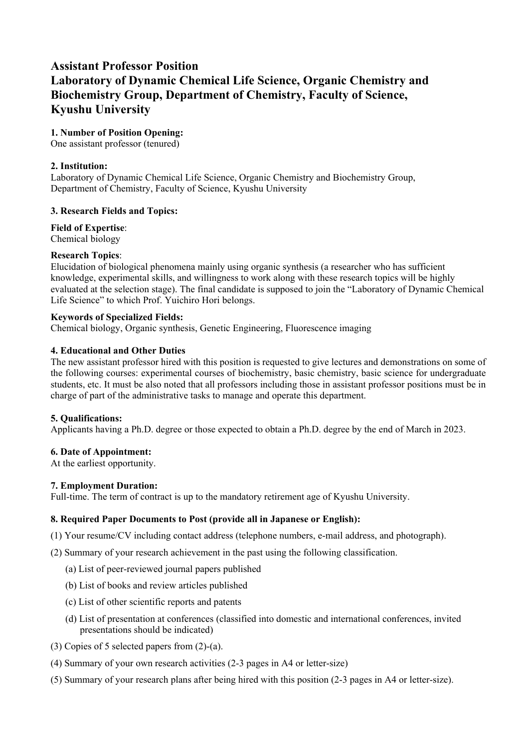## **Assistant Professor Position Laboratory of Dynamic Chemical Life Science, Organic Chemistry and Biochemistry Group, Department of Chemistry, Faculty of Science, Kyushu University**

## **1. Number of Position Opening:**

One assistant professor (tenured)

## **2. Institution:**

Laboratory of Dynamic Chemical Life Science, Organic Chemistry and Biochemistry Group, Department of Chemistry, Faculty of Science, Kyushu University

## **3. Research Fields and Topics:**

**Field of Expertise**: Chemical biology

# **Research Topics**:

Elucidation of biological phenomena mainly using organic synthesis (a researcher who has sufficient knowledge, experimental skills, and willingness to work along with these research topics will be highly evaluated at the selection stage). The final candidate is supposed to join the "Laboratory of Dynamic Chemical Life Science" to which Prof. Yuichiro Hori belongs.

## **Keywords of Specialized Fields:**

Chemical biology, Organic synthesis, Genetic Engineering, Fluorescence imaging

## **4. Educational and Other Duties**

The new assistant professor hired with this position is requested to give lectures and demonstrations on some of the following courses: experimental courses of biochemistry, basic chemistry, basic science for undergraduate students, etc. It must be also noted that all professors including those in assistant professor positions must be in charge of part of the administrative tasks to manage and operate this department.

#### **5. Qualifications:**

Applicants having a Ph.D. degree or those expected to obtain a Ph.D. degree by the end of March in 2023.

#### **6. Date of Appointment:**

At the earliest opportunity.

#### **7. Employment Duration:**

Full-time. The term of contract is up to the mandatory retirement age of Kyushu University.

#### **8. Required Paper Documents to Post (provide all in Japanese or English):**

- (1) Your resume/CV including contact address (telephone numbers, e-mail address, and photograph).
- (2) Summary of your research achievement in the past using the following classification.
	- (a) List of peer-reviewed journal papers published
	- (b) List of books and review articles published
	- (c) List of other scientific reports and patents
	- (d) List of presentation at conferences (classified into domestic and international conferences, invited presentations should be indicated)
- (3) Copies of 5 selected papers from (2)-(a).
- (4) Summary of your own research activities (2-3 pages in A4 or letter-size)
- (5) Summary of your research plans after being hired with this position (2-3 pages in A4 or letter-size).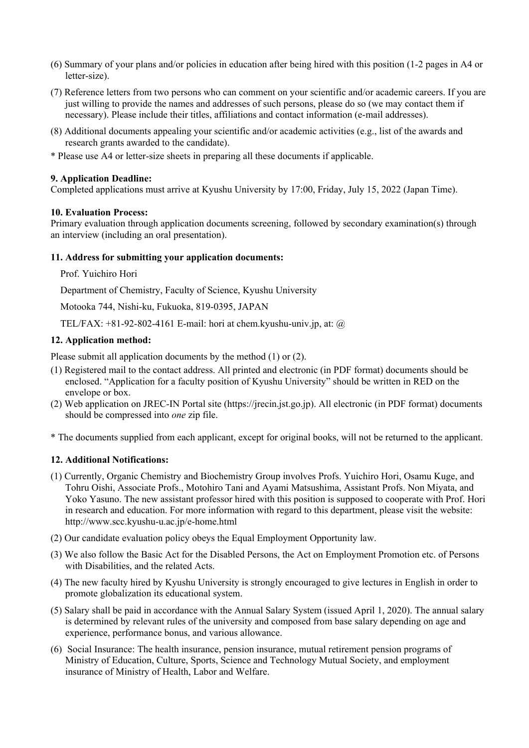- (6) Summary of your plans and/or policies in education after being hired with this position (1-2 pages in A4 or letter-size).
- (7) Reference letters from two persons who can comment on your scientific and/or academic careers. If you are just willing to provide the names and addresses of such persons, please do so (we may contact them if necessary). Please include their titles, affiliations and contact information (e-mail addresses).
- (8) Additional documents appealing your scientific and/or academic activities (e.g., list of the awards and research grants awarded to the candidate).
- \* Please use A4 or letter-size sheets in preparing all these documents if applicable.

#### **9. Application Deadline:**

Completed applications must arrive at Kyushu University by 17:00, Friday, July 15, 2022 (Japan Time).

## **10. Evaluation Process:**

Primary evaluation through application documents screening, followed by secondary examination(s) through an interview (including an oral presentation).

## **11. Address for submitting your application documents:**

Prof. Yuichiro Hori

Department of Chemistry, Faculty of Science, Kyushu University

Motooka 744, Nishi-ku, Fukuoka, 819-0395, JAPAN

TEL/FAX:  $+81-92-802-4161$  E-mail: hori at chem.kyushu-univ.jp, at:  $\omega$ 

## **12. Application method:**

Please submit all application documents by the method (1) or (2).

- (1) Registered mail to the contact address. All printed and electronic (in PDF format) documents should be enclosed. "Application for a faculty position of Kyushu University" should be written in RED on the envelope or box.
- (2) Web application on JREC-IN Portal site (https://jrecin.jst.go.jp). All electronic (in PDF format) documents should be compressed into *one* zip file.
- \* The documents supplied from each applicant, except for original books, will not be returned to the applicant.

## **12. Additional Notifications:**

- (1) Currently, Organic Chemistry and Biochemistry Group involves Profs. Yuichiro Hori, Osamu Kuge, and Tohru Oishi, Associate Profs., Motohiro Tani and Ayami Matsushima, Assistant Profs. Non Miyata, and Yoko Yasuno. The new assistant professor hired with this position is supposed to cooperate with Prof. Hori in research and education. For more information with regard to this department, please visit the website: http://www.scc.kyushu-u.ac.jp/e-home.html
- (2) Our candidate evaluation policy obeys the Equal Employment Opportunity law.
- (3) We also follow the Basic Act for the Disabled Persons, the Act on Employment Promotion etc. of Persons with Disabilities, and the related Acts.
- (4) The new faculty hired by Kyushu University is strongly encouraged to give lectures in English in order to promote globalization its educational system.
- (5) Salary shall be paid in accordance with the Annual Salary System (issued April 1, 2020). The annual salary is determined by relevant rules of the university and composed from base salary depending on age and experience, performance bonus, and various allowance.
- (6) Social Insurance: The health insurance, pension insurance, mutual retirement pension programs of Ministry of Education, Culture, Sports, Science and Technology Mutual Society, and employment insurance of Ministry of Health, Labor and Welfare.